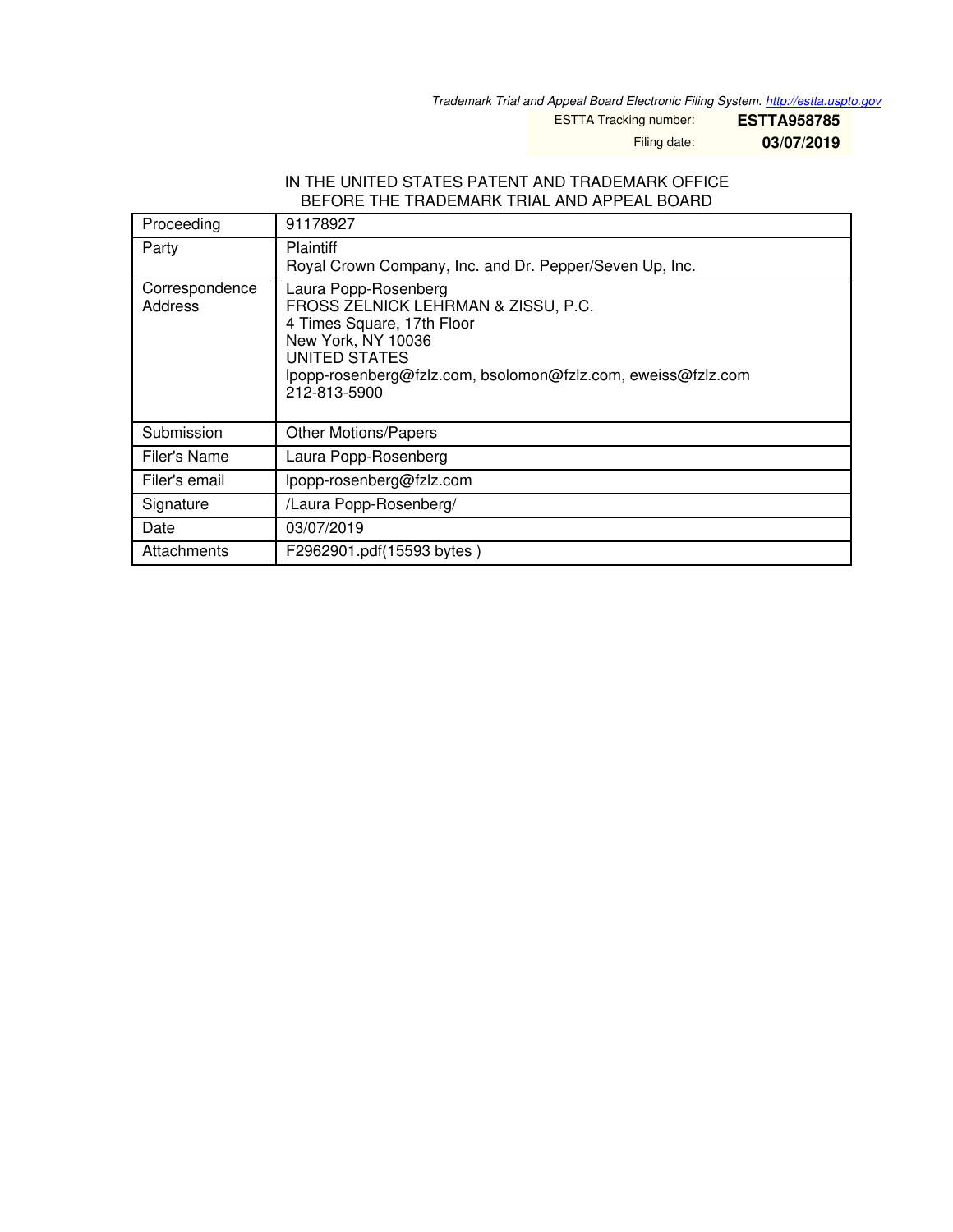*Trademark Trial and Appeal Board Electronic Filing System. <http://estta.uspto.gov>*

ESTTA Tracking number: **ESTTA958785**

Filing date: **03/07/2019**

#### IN THE UNITED STATES PATENT AND TRADEMARK OFFICE BEFORE THE TRADEMARK TRIAL AND APPEAL BOARD

| Proceeding                | 91178927                                                                                                                                                                                                                |
|---------------------------|-------------------------------------------------------------------------------------------------------------------------------------------------------------------------------------------------------------------------|
| Party                     | <b>Plaintiff</b><br>Royal Crown Company, Inc. and Dr. Pepper/Seven Up, Inc.                                                                                                                                             |
| Correspondence<br>Address | Laura Popp-Rosenberg<br>FROSS ZELNICK LEHRMAN & ZISSU, P.C.<br>4 Times Square, 17th Floor<br>New York, NY 10036<br><b>UNITED STATES</b><br>lpopp-rosenberg@fzlz.com, bsolomon@fzlz.com, eweiss@fzlz.com<br>212-813-5900 |
| Submission                | <b>Other Motions/Papers</b>                                                                                                                                                                                             |
| Filer's Name              | Laura Popp-Rosenberg                                                                                                                                                                                                    |
| Filer's email             | lpopp-rosenberg@fzlz.com                                                                                                                                                                                                |
| Signature                 | /Laura Popp-Rosenberg/                                                                                                                                                                                                  |
| Date                      | 03/07/2019                                                                                                                                                                                                              |
| Attachments               | F2962901.pdf(15593 bytes)                                                                                                                                                                                               |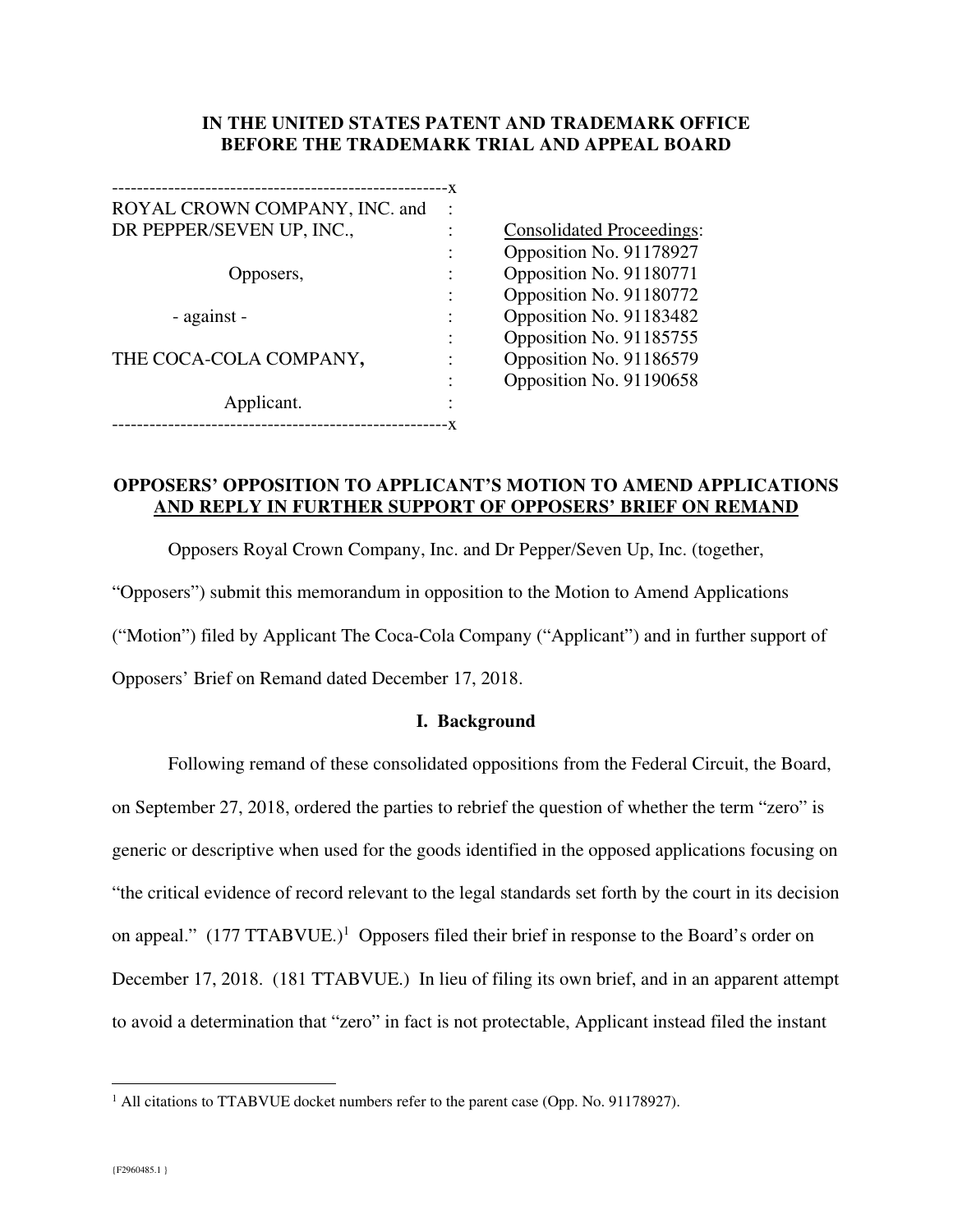### **IN THE UNITED STATES PATENT AND TRADEMARK OFFICE BEFORE THE TRADEMARK TRIAL AND APPEAL BOARD**

| ROYAL CROWN COMPANY, INC. and |  |  |
|-------------------------------|--|--|
| DR PEPPER/SEVEN UP, INC.,     |  |  |
|                               |  |  |
| Opposers,                     |  |  |
|                               |  |  |
| - against -                   |  |  |
|                               |  |  |
| THE COCA-COLA COMPANY,        |  |  |
|                               |  |  |
| Applicant.                    |  |  |
|                               |  |  |

Consolidated Proceedings: : Opposition No. 91178927 Opposition No. 91180771 : Opposition No. 91180772 Opposition No. 91183482 : Opposition No. 91185755 Opposition No. 91186579 Opposition No. 91190658

## **OPPOSERS' OPPOSITION TO APPLICANT'S MOTION TO AMEND APPLICATIONS AND REPLY IN FURTHER SUPPORT OF OPPOSERS' BRIEF ON REMAND**

Opposers Royal Crown Company, Inc. and Dr Pepper/Seven Up, Inc. (together,

"Opposers") submit this memorandum in opposition to the Motion to Amend Applications

("Motion") filed by Applicant The Coca-Cola Company ("Applicant") and in further support of

Opposers' Brief on Remand dated December 17, 2018.

### **I. Background**

Following remand of these consolidated oppositions from the Federal Circuit, the Board, on September 27, 2018, ordered the parties to rebrief the question of whether the term "zero" is generic or descriptive when used for the goods identified in the opposed applications focusing on "the critical evidence of record relevant to the legal standards set forth by the court in its decision on appeal." (177 TTABVUE.)<sup>1</sup> Opposers filed their brief in response to the Board's order on December 17, 2018. (181 TTABVUE.) In lieu of filing its own brief, and in an apparent attempt to avoid a determination that "zero" in fact is not protectable, Applicant instead filed the instant

-

 $<sup>1</sup>$  All citations to TTABVUE docket numbers refer to the parent case (Opp. No. 91178927).</sup>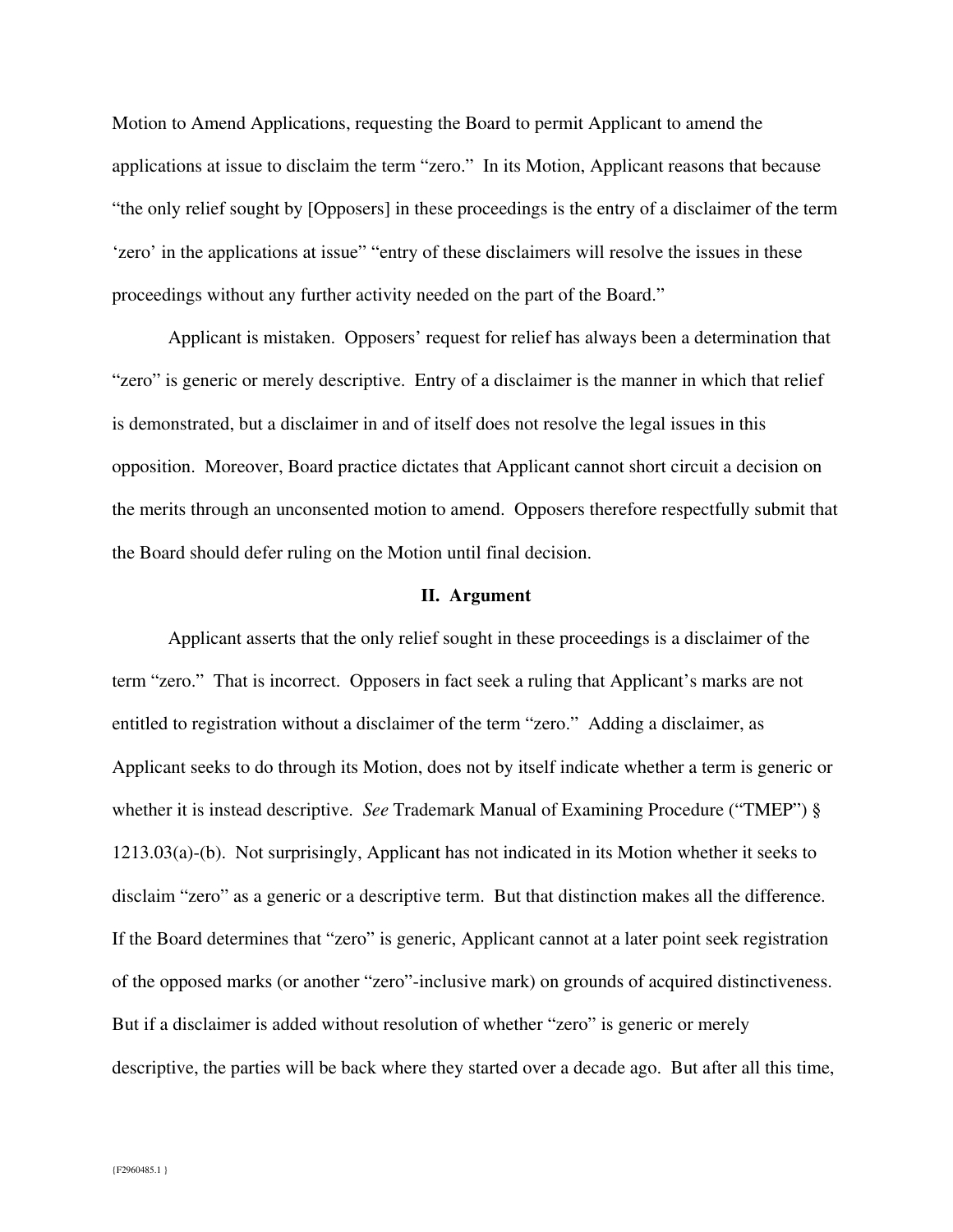Motion to Amend Applications, requesting the Board to permit Applicant to amend the applications at issue to disclaim the term "zero." In its Motion, Applicant reasons that because "the only relief sought by [Opposers] in these proceedings is the entry of a disclaimer of the term 'zero' in the applications at issue" "entry of these disclaimers will resolve the issues in these proceedings without any further activity needed on the part of the Board."

Applicant is mistaken. Opposers' request for relief has always been a determination that "zero" is generic or merely descriptive. Entry of a disclaimer is the manner in which that relief is demonstrated, but a disclaimer in and of itself does not resolve the legal issues in this opposition. Moreover, Board practice dictates that Applicant cannot short circuit a decision on the merits through an unconsented motion to amend. Opposers therefore respectfully submit that the Board should defer ruling on the Motion until final decision.

#### **II. Argument**

Applicant asserts that the only relief sought in these proceedings is a disclaimer of the term "zero." That is incorrect. Opposers in fact seek a ruling that Applicant's marks are not entitled to registration without a disclaimer of the term "zero." Adding a disclaimer, as Applicant seeks to do through its Motion, does not by itself indicate whether a term is generic or whether it is instead descriptive. *See* Trademark Manual of Examining Procedure ("TMEP") § 1213.03(a)-(b). Not surprisingly, Applicant has not indicated in its Motion whether it seeks to disclaim "zero" as a generic or a descriptive term. But that distinction makes all the difference. If the Board determines that "zero" is generic, Applicant cannot at a later point seek registration of the opposed marks (or another "zero"-inclusive mark) on grounds of acquired distinctiveness. But if a disclaimer is added without resolution of whether "zero" is generic or merely descriptive, the parties will be back where they started over a decade ago. But after all this time,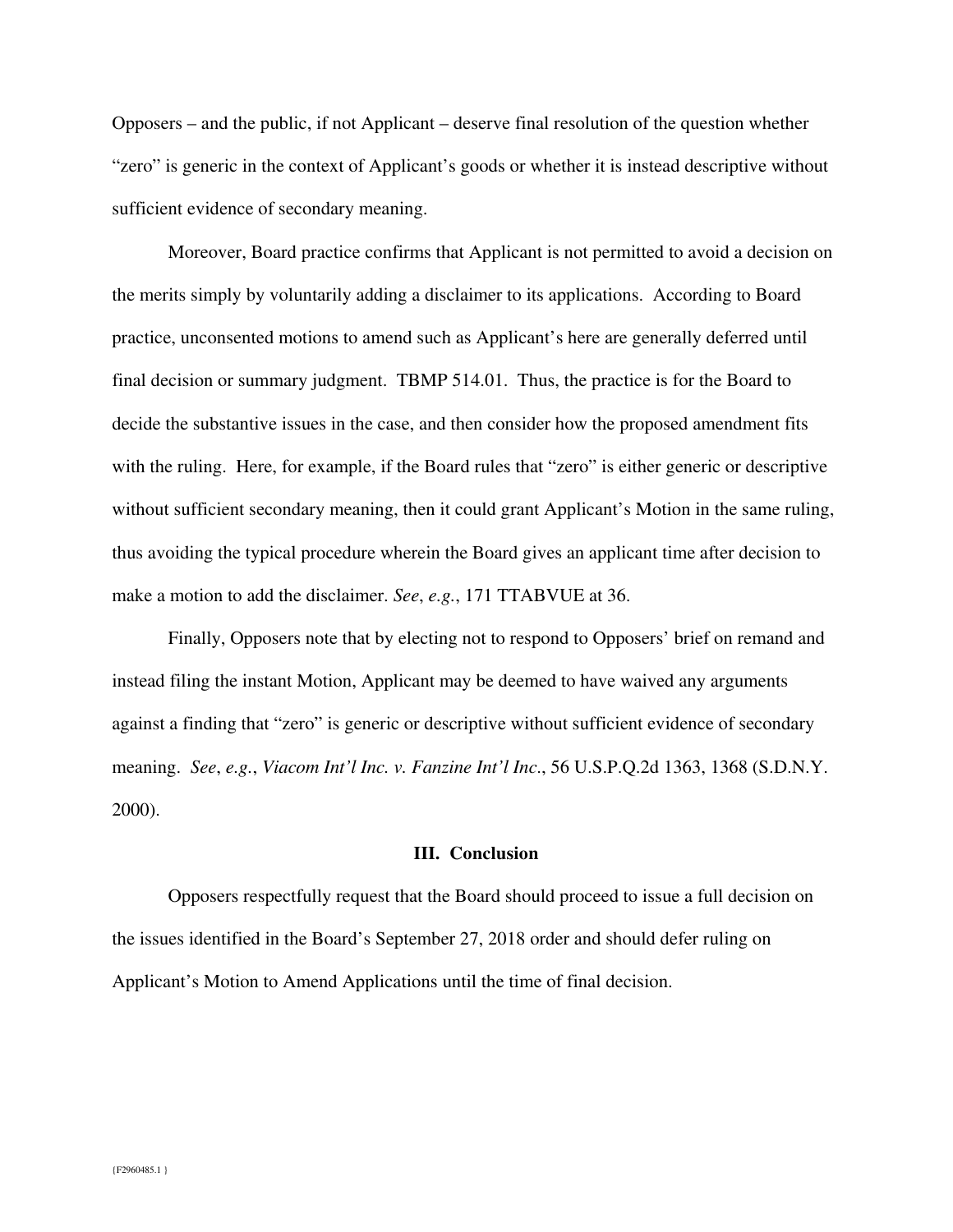Opposers – and the public, if not Applicant – deserve final resolution of the question whether "zero" is generic in the context of Applicant's goods or whether it is instead descriptive without sufficient evidence of secondary meaning.

Moreover, Board practice confirms that Applicant is not permitted to avoid a decision on the merits simply by voluntarily adding a disclaimer to its applications. According to Board practice, unconsented motions to amend such as Applicant's here are generally deferred until final decision or summary judgment. TBMP 514.01. Thus, the practice is for the Board to decide the substantive issues in the case, and then consider how the proposed amendment fits with the ruling. Here, for example, if the Board rules that "zero" is either generic or descriptive without sufficient secondary meaning, then it could grant Applicant's Motion in the same ruling, thus avoiding the typical procedure wherein the Board gives an applicant time after decision to make a motion to add the disclaimer. *See*, *e.g.*, 171 TTABVUE at 36.

Finally, Opposers note that by electing not to respond to Opposers' brief on remand and instead filing the instant Motion, Applicant may be deemed to have waived any arguments against a finding that "zero" is generic or descriptive without sufficient evidence of secondary meaning. *See*, *e.g.*, *Viacom Int'l Inc. v. Fanzine Int'l Inc*., 56 U.S.P.Q.2d 1363, 1368 (S.D.N.Y. 2000).

#### **III. Conclusion**

Opposers respectfully request that the Board should proceed to issue a full decision on the issues identified in the Board's September 27, 2018 order and should defer ruling on Applicant's Motion to Amend Applications until the time of final decision.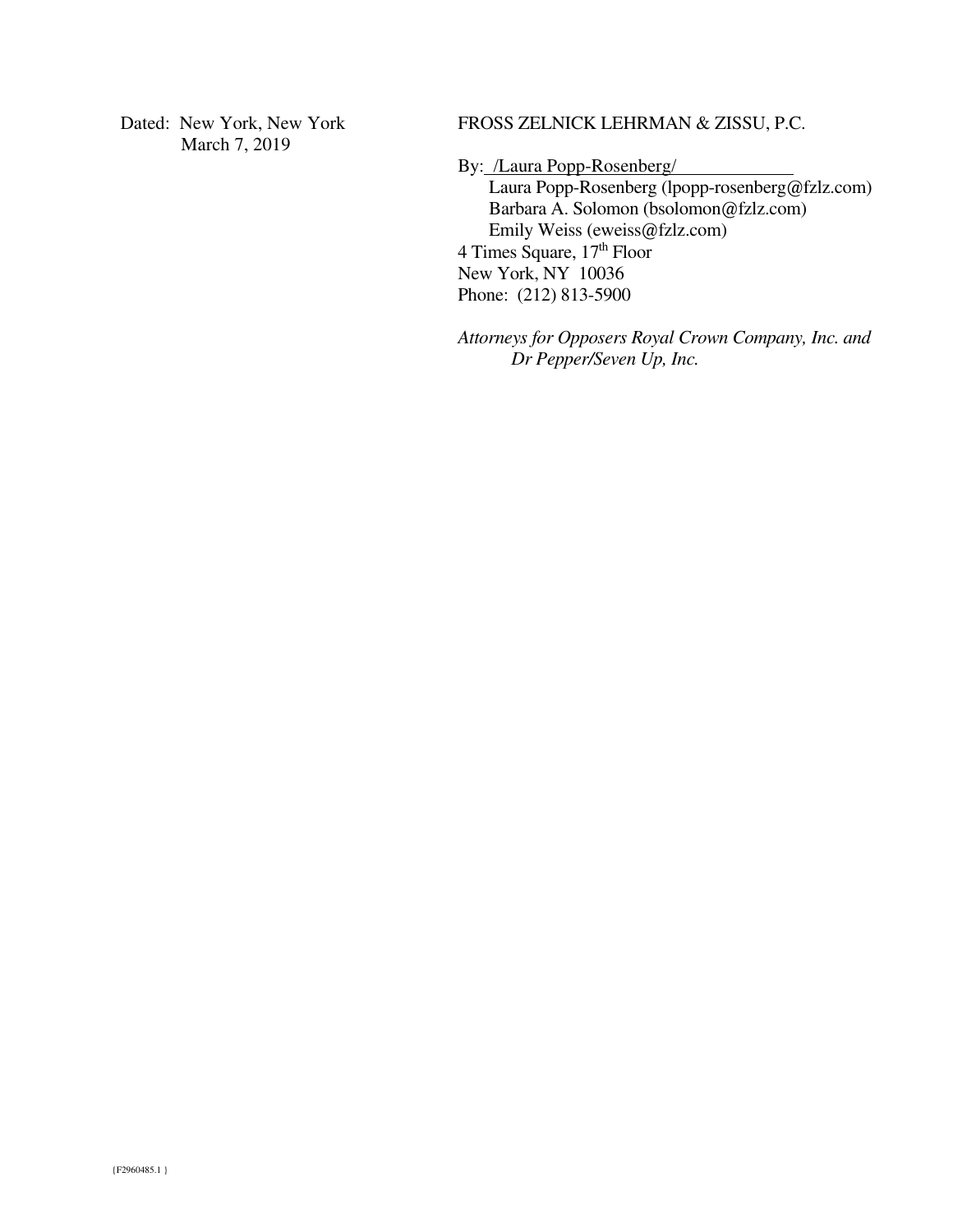Dated: New York, New York March 7, 2019

FROSS ZELNICK LEHRMAN & ZISSU, P.C.

By: /Laura Popp-Rosenberg/ Laura Popp-Rosenberg (lpopp-rosenberg@fzlz.com) Barbara A. Solomon (bsolomon@fzlz.com) Emily Weiss (eweiss@fzlz.com) 4 Times Square,  $17<sup>th</sup>$  Floor New York, NY 10036 Phone: (212) 813-5900

*Attorneys for Opposers Royal Crown Company, Inc. and Dr Pepper/Seven Up, Inc.*